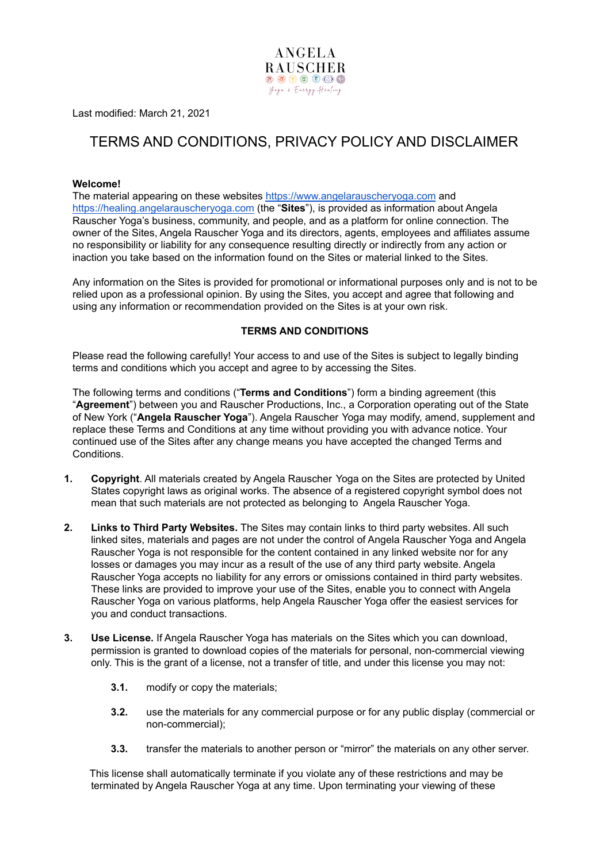

Last modified: March 21, 2021

# TERMS AND CONDITIONS, PRIVACY POLICY AND DISCLAIMER

# **Welcome!**

The material appearing on these websites <https://www.angelarauscheryoga.com> and [https://healing.angelarauscheryoga.com](https://healing.angelarauscheryoga.com/the-anxiety-healing-project) (the "**Sites**"), is provided as information about Angela Rauscher Yoga's business, community, and people, and as a platform for online connection. The owner of the Sites, Angela Rauscher Yoga and its directors, agents, employees and affiliates assume no responsibility or liability for any consequence resulting directly or indirectly from any action or inaction you take based on the information found on the Sites or material linked to the Sites.

Any information on the Sites is provided for promotional or informational purposes only and is not to be relied upon as a professional opinion. By using the Sites, you accept and agree that following and using any information or recommendation provided on the Sites is at your own risk.

# **TERMS AND CONDITIONS**

Please read the following carefully! Your access to and use of the Sites is subject to legally binding terms and conditions which you accept and agree to by accessing the Sites.

The following terms and conditions ("**Terms and Conditions**") form a binding agreement (this "**Agreement**") between you and Rauscher Productions, Inc., a Corporation operating out of the State of New York ("**Angela Rauscher Yoga**"). Angela Rauscher Yoga may modify, amend, supplement and replace these Terms and Conditions at any time without providing you with advance notice. Your continued use of the Sites after any change means you have accepted the changed Terms and Conditions.

- **1. Copyright**. All materials created by Angela Rauscher Yoga on the Sites are protected by United States copyright laws as original works. The absence of a registered copyright symbol does not mean that such materials are not protected as belonging to Angela Rauscher Yoga.
- **2. Links to Third Party Websites.** The Sites may contain links to third party websites. All such linked sites, materials and pages are not under the control of Angela Rauscher Yoga and Angela Rauscher Yoga is not responsible for the content contained in any linked website nor for any losses or damages you may incur as a result of the use of any third party website. Angela Rauscher Yoga accepts no liability for any errors or omissions contained in third party websites. These links are provided to improve your use of the Sites, enable you to connect with Angela Rauscher Yoga on various platforms, help Angela Rauscher Yoga offer the easiest services for you and conduct transactions.
- **3. Use License.** If Angela Rauscher Yoga has materials on the Sites which you can download, permission is granted to download copies of the materials for personal, non-commercial viewing only. This is the grant of a license, not a transfer of title, and under this license you may not:
	- **3.1.** modify or copy the materials;
	- **3.2.** use the materials for any commercial purpose or for any public display (commercial or non-commercial);
	- **3.3.** transfer the materials to another person or "mirror" the materials on any other server.

This license shall automatically terminate if you violate any of these restrictions and may be terminated by Angela Rauscher Yoga at any time. Upon terminating your viewing of these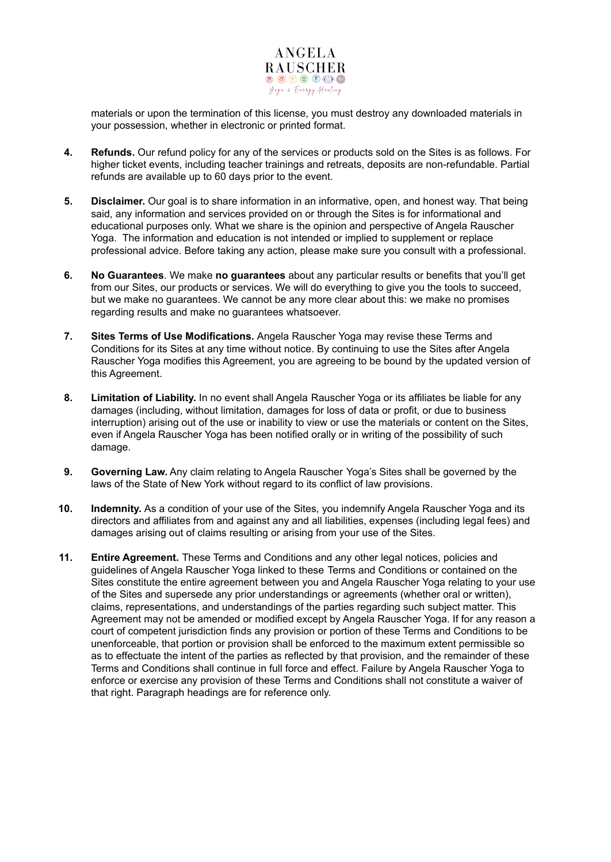

materials or upon the termination of this license, you must destroy any downloaded materials in your possession, whether in electronic or printed format.

- **4. Refunds.** Our refund policy for any of the services or products sold on the Sites is as follows. For higher ticket events, including teacher trainings and retreats, deposits are non-refundable. Partial refunds are available up to 60 days prior to the event.
- **5. Disclaimer.** Our goal is to share information in an informative, open, and honest way. That being said, any information and services provided on or through the Sites is for informational and educational purposes only. What we share is the opinion and perspective of Angela Rauscher Yoga. The information and education is not intended or implied to supplement or replace professional advice. Before taking any action, please make sure you consult with a professional.
- **6. No Guarantees**. We make **no guarantees** about any particular results or benefits that you'll get from our Sites, our products or services. We will do everything to give you the tools to succeed, but we make no guarantees. We cannot be any more clear about this: we make no promises regarding results and make no guarantees whatsoever.
- **7. Sites Terms of Use Modifications.** Angela Rauscher Yoga may revise these Terms and Conditions for its Sites at any time without notice. By continuing to use the Sites after Angela Rauscher Yoga modifies this Agreement, you are agreeing to be bound by the updated version of this Agreement.
- **8. Limitation of Liability.** In no event shall Angela Rauscher Yoga or its affiliates be liable for any damages (including, without limitation, damages for loss of data or profit, or due to business interruption) arising out of the use or inability to view or use the materials or content on the Sites, even if Angela Rauscher Yoga has been notified orally or in writing of the possibility of such damage.
- **9. Governing Law.** Any claim relating to Angela Rauscher Yoga's Sites shall be governed by the laws of the State of New York without regard to its conflict of law provisions.
- **10. Indemnity.** As a condition of your use of the Sites, you indemnify Angela Rauscher Yoga and its directors and affiliates from and against any and all liabilities, expenses (including legal fees) and damages arising out of claims resulting or arising from your use of the Sites.
- **11. Entire Agreement.** These Terms and Conditions and any other legal notices, policies and guidelines of Angela Rauscher Yoga linked to these Terms and Conditions or contained on the Sites constitute the entire agreement between you and Angela Rauscher Yoga relating to your use of the Sites and supersede any prior understandings or agreements (whether oral or written), claims, representations, and understandings of the parties regarding such subject matter. This Agreement may not be amended or modified except by Angela Rauscher Yoga. If for any reason a court of competent jurisdiction finds any provision or portion of these Terms and Conditions to be unenforceable, that portion or provision shall be enforced to the maximum extent permissible so as to effectuate the intent of the parties as reflected by that provision, and the remainder of these Terms and Conditions shall continue in full force and effect. Failure by Angela Rauscher Yoga to enforce or exercise any provision of these Terms and Conditions shall not constitute a waiver of that right. Paragraph headings are for reference only.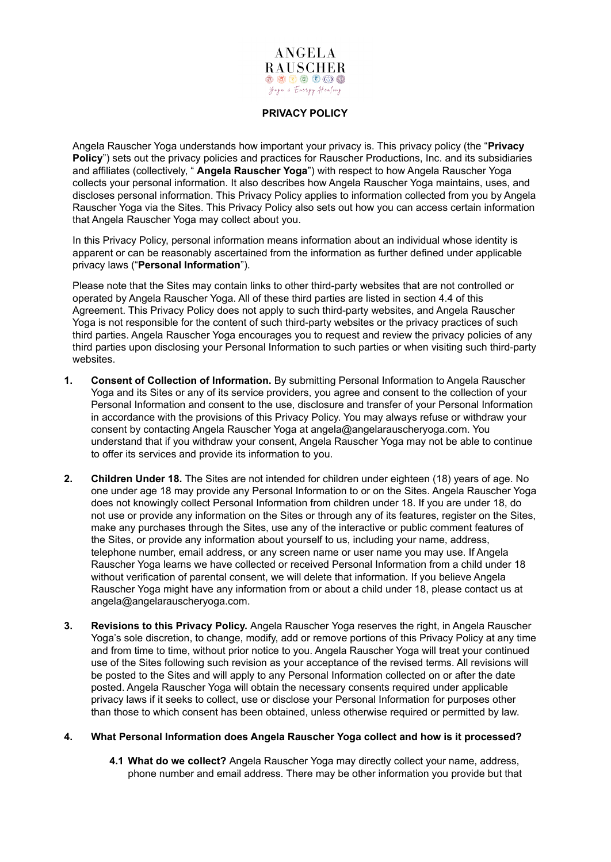

# **PRIVACY POLICY**

Angela Rauscher Yoga understands how important your privacy is. This privacy policy (the "**Privacy Policy**") sets out the privacy policies and practices for Rauscher Productions, Inc. and its subsidiaries and affiliates (collectively, " **Angela Rauscher Yoga**") with respect to how Angela Rauscher Yoga collects your personal information. It also describes how Angela Rauscher Yoga maintains, uses, and discloses personal information. This Privacy Policy applies to information collected from you by Angela Rauscher Yoga via the Sites. This Privacy Policy also sets out how you can access certain information that Angela Rauscher Yoga may collect about you.

In this Privacy Policy, personal information means information about an individual whose identity is apparent or can be reasonably ascertained from the information as further defined under applicable privacy laws ("**Personal Information**").

Please note that the Sites may contain links to other third-party websites that are not controlled or operated by Angela Rauscher Yoga. All of these third parties are listed in section 4.4 of this Agreement. This Privacy Policy does not apply to such third-party websites, and Angela Rauscher Yoga is not responsible for the content of such third-party websites or the privacy practices of such third parties. Angela Rauscher Yoga encourages you to request and review the privacy policies of any third parties upon disclosing your Personal Information to such parties or when visiting such third-party websites.

- **1. Consent of Collection of Information.** By submitting Personal Information to Angela Rauscher Yoga and its Sites or any of its service providers, you agree and consent to the collection of your Personal Information and consent to the use, disclosure and transfer of your Personal Information in accordance with the provisions of this Privacy Policy. You may always refuse or withdraw your consent by contacting Angela Rauscher Yoga at angela@angelarauscheryoga.com. You understand that if you withdraw your consent, Angela Rauscher Yoga may not be able to continue to offer its services and provide its information to you.
- **2. Children Under 18.** The Sites are not intended for children under eighteen (18) years of age. No one under age 18 may provide any Personal Information to or on the Sites. Angela Rauscher Yoga does not knowingly collect Personal Information from children under 18. If you are under 18, do not use or provide any information on the Sites or through any of its features, register on the Sites, make any purchases through the Sites, use any of the interactive or public comment features of the Sites, or provide any information about yourself to us, including your name, address, telephone number, email address, or any screen name or user name you may use. If Angela Rauscher Yoga learns we have collected or received Personal Information from a child under 18 without verification of parental consent, we will delete that information. If you believe Angela Rauscher Yoga might have any information from or about a child under 18, please contact us at angela@angelarauscheryoga.com.
- **3. Revisions to this Privacy Policy.** Angela Rauscher Yoga reserves the right, in Angela Rauscher Yoga's sole discretion, to change, modify, add or remove portions of this Privacy Policy at any time and from time to time, without prior notice to you. Angela Rauscher Yoga will treat your continued use of the Sites following such revision as your acceptance of the revised terms. All revisions will be posted to the Sites and will apply to any Personal Information collected on or after the date posted. Angela Rauscher Yoga will obtain the necessary consents required under applicable privacy laws if it seeks to collect, use or disclose your Personal Information for purposes other than those to which consent has been obtained, unless otherwise required or permitted by law.

### **4. What Personal Information does Angela Rauscher Yoga collect and how is it processed?**

**4.1 What do we collect?** Angela Rauscher Yoga may directly collect your name, address, phone number and email address. There may be other information you provide but that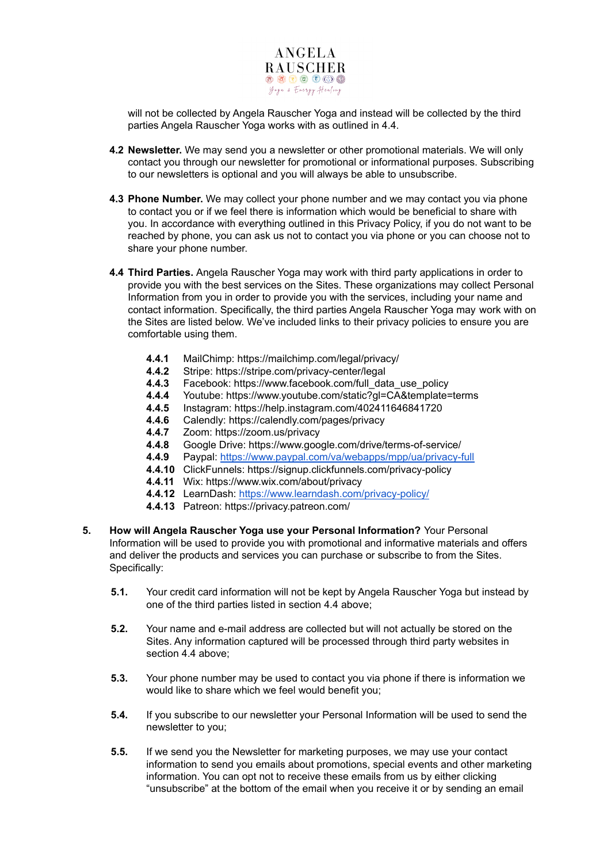

will not be collected by Angela Rauscher Yoga and instead will be collected by the third parties Angela Rauscher Yoga works with as outlined in 4.4.

- **4.2 Newsletter.** We may send you a newsletter or other promotional materials. We will only contact you through our newsletter for promotional or informational purposes. Subscribing to our newsletters is optional and you will always be able to unsubscribe.
- **4.3 Phone Number.** We may collect your phone number and we may contact you via phone to contact you or if we feel there is information which would be beneficial to share with you. In accordance with everything outlined in this Privacy Policy, if you do not want to be reached by phone, you can ask us not to contact you via phone or you can choose not to share your phone number.
- **4.4 Third Parties.** Angela Rauscher Yoga may work with third party applications in order to provide you with the best services on the Sites. These organizations may collect Personal Information from you in order to provide you with the services, including your name and contact information. Specifically, the third parties Angela Rauscher Yoga may work with on the Sites are listed below. We've included links to their privacy policies to ensure you are comfortable using them.
	- **4.4.1** MailChimp: https://mailchimp.com/legal/privacy/
	- **4.4.2** Stripe: https://stripe.com/privacy-center/legal
	- **4.4.3** Facebook: https://www.facebook.com/full\_data\_use\_policy
	- **4.4.4** Youtube: https://www.youtube.com/static?gl=CA&template=terms
	- **4.4.5** Instagram: https://help.instagram.com/402411646841720
	- **4.4.6** Calendly: https://calendly.com/pages/privacy
	- **4.4.7** Zoom: https://zoom.us/privacy
	- **4.4.8** Google Drive: https://www.google.com/drive/terms-of-service/
	- **4.4.9** Paypal: <https://www.paypal.com/va/webapps/mpp/ua/privacy-full>
	- **4.4.10** ClickFunnels: https://signup.clickfunnels.com/privacy-policy
	- **4.4.11** Wix: https://www.wix.com/about/privacy
	- **4.4.12** LearnDash: <https://www.learndash.com/privacy-policy/>
	- **4.4.13** Patreon: https://privacy.patreon.com/
- **5. How will Angela Rauscher Yoga use your Personal Information?** Your Personal Information will be used to provide you with promotional and informative materials and offers and deliver the products and services you can purchase or subscribe to from the Sites. Specifically:
	- **5.1.** Your credit card information will not be kept by Angela Rauscher Yoga but instead by one of the third parties listed in section 4.4 above;
	- **5.2.** Your name and e-mail address are collected but will not actually be stored on the Sites. Any information captured will be processed through third party websites in section 4.4 above;
	- **5.3.** Your phone number may be used to contact you via phone if there is information we would like to share which we feel would benefit you;
	- **5.4.** If you subscribe to our newsletter your Personal Information will be used to send the newsletter to you;
	- **5.5.** If we send you the Newsletter for marketing purposes, we may use your contact information to send you emails about promotions, special events and other marketing information. You can opt not to receive these emails from us by either clicking "unsubscribe" at the bottom of the email when you receive it or by sending an email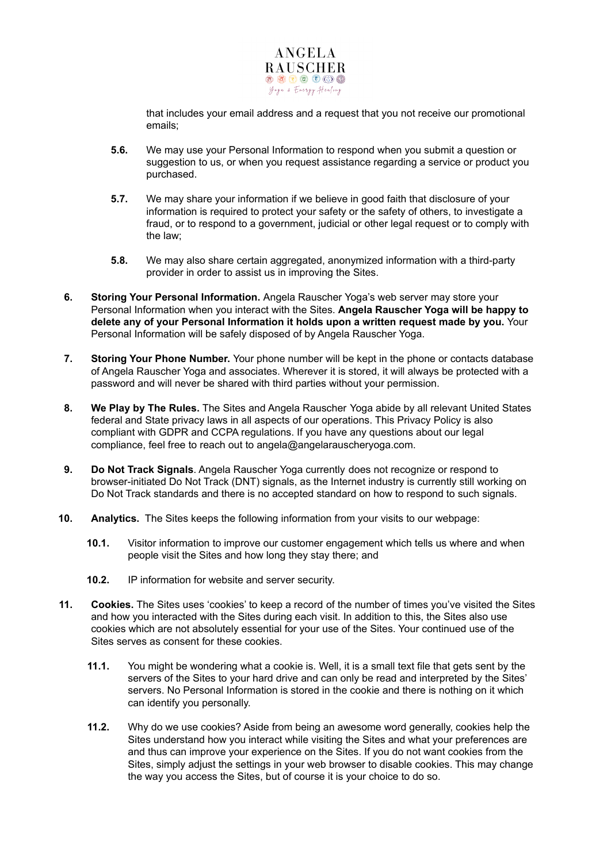

that includes your email address and a request that you not receive our promotional emails;

- **5.6.** We may use your Personal Information to respond when you submit a question or suggestion to us, or when you request assistance regarding a service or product you purchased.
- **5.7.** We may share your information if we believe in good faith that disclosure of your information is required to protect your safety or the safety of others, to investigate a fraud, or to respond to a government, judicial or other legal request or to comply with the law;
- **5.8.** We may also share certain aggregated, anonymized information with a third-party provider in order to assist us in improving the Sites.
- **6. Storing Your Personal Information.** Angela Rauscher Yoga's web server may store your Personal Information when you interact with the Sites. **Angela Rauscher Yoga will be happy to delete any of your Personal Information it holds upon a written request made by you.** Your Personal Information will be safely disposed of by Angela Rauscher Yoga.
- **7. Storing Your Phone Number.** Your phone number will be kept in the phone or contacts database of Angela Rauscher Yoga and associates. Wherever it is stored, it will always be protected with a password and will never be shared with third parties without your permission.
- **8. We Play by The Rules.** The Sites and Angela Rauscher Yoga abide by all relevant United States federal and State privacy laws in all aspects of our operations. This Privacy Policy is also compliant with GDPR and CCPA regulations. If you have any questions about our legal compliance, feel free to reach out to angela@angelarauscheryoga.com.
- **9. Do Not Track Signals**. Angela Rauscher Yoga currently does not recognize or respond to browser-initiated Do Not Track (DNT) signals, as the Internet industry is currently still working on Do Not Track standards and there is no accepted standard on how to respond to such signals.
- **10. Analytics.** The Sites keeps the following information from your visits to our webpage:
	- **10.1.** Visitor information to improve our customer engagement which tells us where and when people visit the Sites and how long they stay there; and
	- **10.2.** IP information for website and server security.
- **11. Cookies.** The Sites uses 'cookies' to keep a record of the number of times you've visited the Sites and how you interacted with the Sites during each visit. In addition to this, the Sites also use cookies which are not absolutely essential for your use of the Sites. Your continued use of the Sites serves as consent for these cookies.
	- **11.1.** You might be wondering what a cookie is. Well, it is a small text file that gets sent by the servers of the Sites to your hard drive and can only be read and interpreted by the Sites' servers. No Personal Information is stored in the cookie and there is nothing on it which can identify you personally.
	- **11.2.** Why do we use cookies? Aside from being an awesome word generally, cookies help the Sites understand how you interact while visiting the Sites and what your preferences are and thus can improve your experience on the Sites. If you do not want cookies from the Sites, simply adjust the settings in your web browser to disable cookies. This may change the way you access the Sites, but of course it is your choice to do so.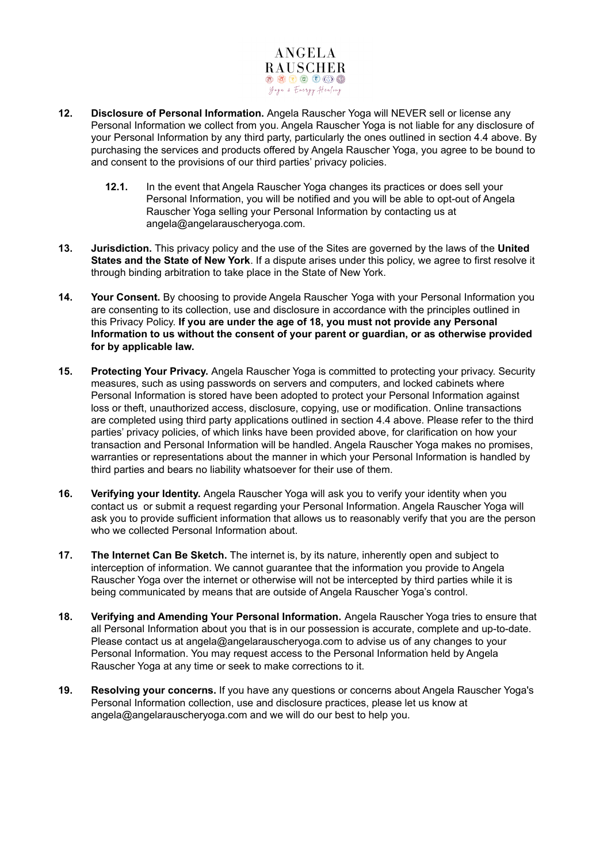

- **12. Disclosure of Personal Information.** Angela Rauscher Yoga will NEVER sell or license any Personal Information we collect from you. Angela Rauscher Yoga is not liable for any disclosure of your Personal Information by any third party, particularly the ones outlined in section 4.4 above. By purchasing the services and products offered by Angela Rauscher Yoga, you agree to be bound to and consent to the provisions of our third parties' privacy policies.
	- **12.1.** In the event that Angela Rauscher Yoga changes its practices or does sell your Personal Information, you will be notified and you will be able to opt-out of Angela Rauscher Yoga selling your Personal Information by contacting us at angela@angelarauscheryoga.com.
- **13. Jurisdiction.** This privacy policy and the use of the Sites are governed by the laws of the **United States and the State of New York**. If a dispute arises under this policy, we agree to first resolve it through binding arbitration to take place in the State of New York.
- **14. Your Consent.** By choosing to provide Angela Rauscher Yoga with your Personal Information you are consenting to its collection, use and disclosure in accordance with the principles outlined in this Privacy Policy. **If you are under the age of 18, you must not provide any Personal Information to us without the consent of your parent or guardian, or as otherwise provided for by applicable law.**
- **15. Protecting Your Privacy.** Angela Rauscher Yoga is committed to protecting your privacy. Security measures, such as using passwords on servers and computers, and locked cabinets where Personal Information is stored have been adopted to protect your Personal Information against loss or theft, unauthorized access, disclosure, copying, use or modification. Online transactions are completed using third party applications outlined in section 4.4 above. Please refer to the third parties' privacy policies, of which links have been provided above, for clarification on how your transaction and Personal Information will be handled. Angela Rauscher Yoga makes no promises, warranties or representations about the manner in which your Personal Information is handled by third parties and bears no liability whatsoever for their use of them.
- **16. Verifying your Identity.** Angela Rauscher Yoga will ask you to verify your identity when you contact us or submit a request regarding your Personal Information. Angela Rauscher Yoga will ask you to provide sufficient information that allows us to reasonably verify that you are the person who we collected Personal Information about.
- **17. The Internet Can Be Sketch.** The internet is, by its nature, inherently open and subject to interception of information. We cannot guarantee that the information you provide to Angela Rauscher Yoga over the internet or otherwise will not be intercepted by third parties while it is being communicated by means that are outside of Angela Rauscher Yoga's control.
- **18. Verifying and Amending Your Personal Information.** Angela Rauscher Yoga tries to ensure that all Personal Information about you that is in our possession is accurate, complete and up-to-date. Please contact us at angela@angelarauscheryoga.com to advise us of any changes to your Personal Information. You may request access to the Personal Information held by Angela Rauscher Yoga at any time or seek to make corrections to it.
- **19. Resolving your concerns.** If you have any questions or concerns about Angela Rauscher Yoga's Personal Information collection, use and disclosure practices, please let us know at angela@angelarauscheryoga.com and we will do our best to help you.